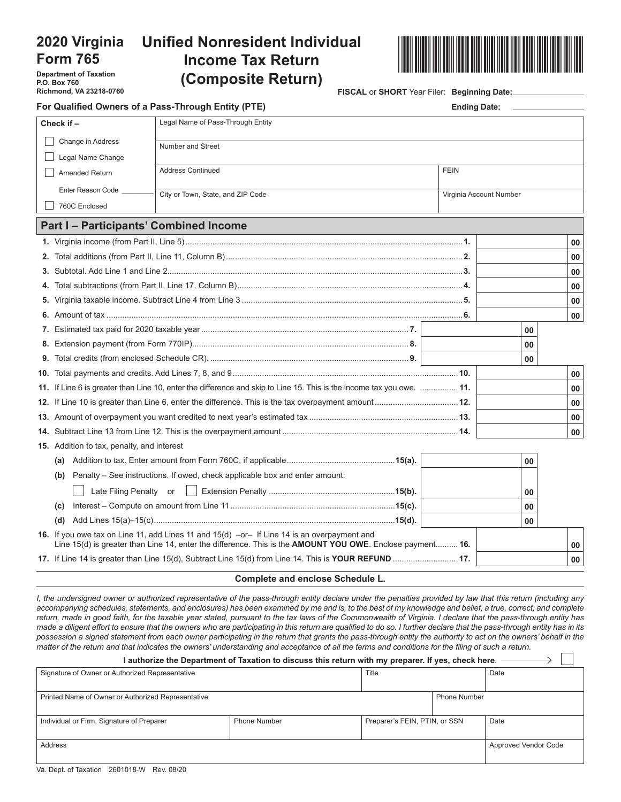# **2020 Virginia Form 765**

**Department of Taxation P.O. Box 760 Richmond, VA 23218-0760**

# **Unified Nonresident Individual Income Tax Return (Composite Return)**



**FISCAL** or **SHORT** Year Filer: **Beginning Date:**

| For Qualified Owners of a Pass-Through Entity (PTE) | <b>Ending Date:</b>                                                                                                                                                                                      |                         |    |                 |
|-----------------------------------------------------|----------------------------------------------------------------------------------------------------------------------------------------------------------------------------------------------------------|-------------------------|----|-----------------|
| Check if -                                          | Legal Name of Pass-Through Entity                                                                                                                                                                        |                         |    |                 |
| Change in Address                                   | <b>Number and Street</b>                                                                                                                                                                                 |                         |    |                 |
| Legal Name Change                                   |                                                                                                                                                                                                          |                         |    |                 |
| Amended Return                                      | <b>Address Continued</b>                                                                                                                                                                                 | <b>FEIN</b>             |    |                 |
| Enter Reason Code                                   | City or Town, State, and ZIP Code                                                                                                                                                                        | Virginia Account Number |    |                 |
| 760C Enclosed                                       |                                                                                                                                                                                                          |                         |    |                 |
|                                                     | <b>Part I - Participants' Combined Income</b>                                                                                                                                                            |                         |    |                 |
|                                                     |                                                                                                                                                                                                          |                         |    | 00              |
|                                                     |                                                                                                                                                                                                          |                         |    | 00              |
|                                                     |                                                                                                                                                                                                          |                         |    | 00              |
| 4.                                                  |                                                                                                                                                                                                          |                         |    | 00              |
|                                                     |                                                                                                                                                                                                          |                         |    | 00              |
|                                                     |                                                                                                                                                                                                          |                         |    | 00 <sup>1</sup> |
|                                                     |                                                                                                                                                                                                          |                         | 00 |                 |
|                                                     |                                                                                                                                                                                                          |                         | 00 |                 |
|                                                     |                                                                                                                                                                                                          |                         | 00 |                 |
|                                                     |                                                                                                                                                                                                          |                         |    | 00              |
|                                                     | 11. If Line 6 is greater than Line 10, enter the difference and skip to Line 15. This is the income tax you owe.  11.                                                                                    |                         |    | 00              |
|                                                     |                                                                                                                                                                                                          |                         |    | 00              |
|                                                     |                                                                                                                                                                                                          |                         |    | 00              |
|                                                     |                                                                                                                                                                                                          |                         |    | 00              |
| <b>15.</b> Addition to tax, penalty, and interest   |                                                                                                                                                                                                          |                         |    |                 |
| (a)                                                 |                                                                                                                                                                                                          |                         | 00 |                 |
| (b)                                                 | Penalty - See instructions. If owed, check applicable box and enter amount:                                                                                                                              |                         |    |                 |
| Late Filing Penalty or                              |                                                                                                                                                                                                          |                         | 00 |                 |
| (c)                                                 |                                                                                                                                                                                                          |                         | 00 |                 |
| (d)                                                 |                                                                                                                                                                                                          |                         | 00 |                 |
|                                                     | 16. If you owe tax on Line 11, add Lines 11 and 15(d) -or- If Line 14 is an overpayment and<br>Line 15(d) is greater than Line 14, enter the difference. This is the AMOUNT YOU OWE. Enclose payment 16. |                         |    | 00              |
|                                                     | 17. If Line 14 is greater than Line 15(d), Subtract Line 15(d) from Line 14. This is YOUR REFUND 17.                                                                                                     |                         |    | 00              |

#### **Complete and enclose Schedule L.**

*I, the undersigned owner or authorized representative of the pass-through entity declare under the penalties provided by law that this return (including any accompanying schedules, statements, and enclosures) has been examined by me and is, to the best of my knowledge and belief, a true, correct, and complete return, made in good faith, for the taxable year stated, pursuant to the tax laws of the Commonwealth of Virginia. I declare that the pass-through entity has made a diligent effort to ensure that the owners who are participating in this return are qualified to do so. I further declare that the pass-through entity has in its*  possession a signed statement from each owner participating in the return that grants the pass-through entity the authority to act on the owners' behalf in the *matter of the return and that indicates the owners' understanding and acceptance of all the terms and conditions for the filing of such a return.*

| l authorize the Department of Taxation to discuss this return with my preparer. If yes, check here. |                     |                               |                     |                             |  |
|-----------------------------------------------------------------------------------------------------|---------------------|-------------------------------|---------------------|-----------------------------|--|
| Signature of Owner or Authorized Representative                                                     |                     | Title                         |                     | Date                        |  |
|                                                                                                     |                     |                               |                     |                             |  |
| Printed Name of Owner or Authorized Representative                                                  |                     |                               | <b>Phone Number</b> |                             |  |
|                                                                                                     |                     |                               |                     |                             |  |
| Individual or Firm, Signature of Preparer                                                           | <b>Phone Number</b> | Preparer's FEIN, PTIN, or SSN |                     | Date                        |  |
|                                                                                                     |                     |                               |                     |                             |  |
| Address                                                                                             |                     |                               |                     | <b>Approved Vendor Code</b> |  |
|                                                                                                     |                     |                               |                     |                             |  |